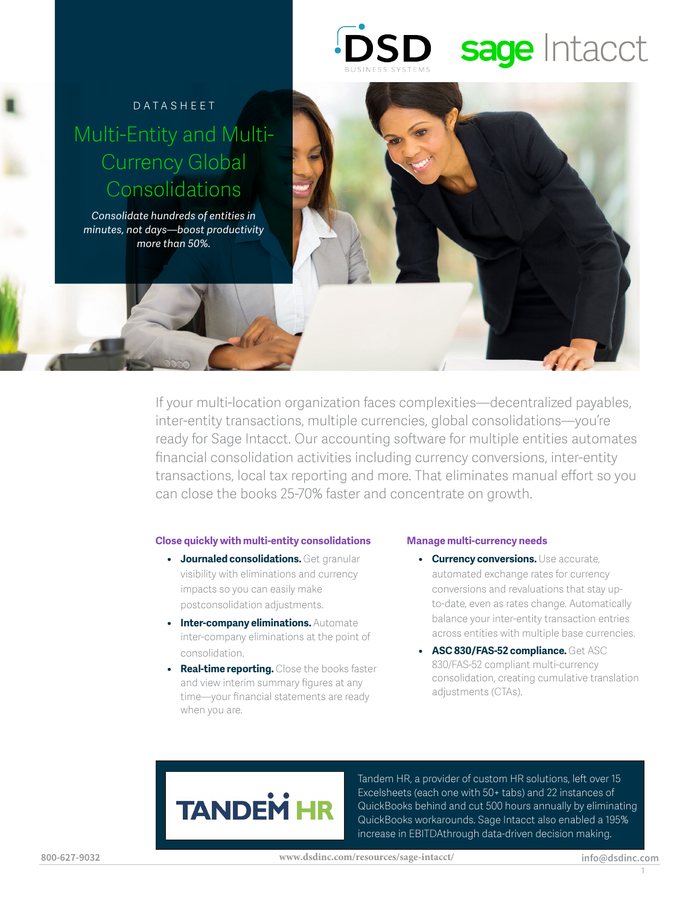# **DSD** sage Intacct

### Datasheet Multi-Entity and Multi-Currency Global **Consolidations**

*Consolidate hundreds of entities in minutes, not days—boost productivity more than 50%.*

> If your multi-location organization faces complexities—decentralized payables, inter-entity transactions, multiple currencies, global consolidations—you're ready for Sage Intacct. Our accounting software for multiple entities automates financial consolidation activities including currency conversions, inter-entity transactions, local tax reporting and more. That eliminates manual effort so you can close the books 25-70% faster and concentrate on growth.

### **Close quickly with multi-entity consolidations**

- **• Journaled consolidations.** Get granular visibility with eliminations and currency impacts so you can easily make postconsolidation adjustments.
- **• Inter-company eliminations.** Automate inter-company eliminations at the point of consolidation.
- **• Real-time reporting.** Close the books faster and view interim summary figures at any time—your financial statements are ready when you are.

### **Manage multi-currency needs**

- **• Currency conversions.** Use accurate, automated exchange rates for currency conversions and revaluations that stay upto-date, even as rates change. Automatically balance your inter-entity transaction entries across entities with multiple base currencies.
- **• ASC 830/FAS-52 compliance.** Get ASC 830/FAS-52 compliant multi-currency consolidation, creating cumulative translation adjustments (CTAs).

## **TANDEM**

Tandem HR, a provider of custom HR solutions, left over 15 Excelsheets (each one with 50+ tabs) and 22 instances of QuickBooks behind and cut 500 hours annually by eliminating QuickBooks workarounds. Sage Intacct also enabled a 195% increase in EBITDAthrough data-driven decision making.